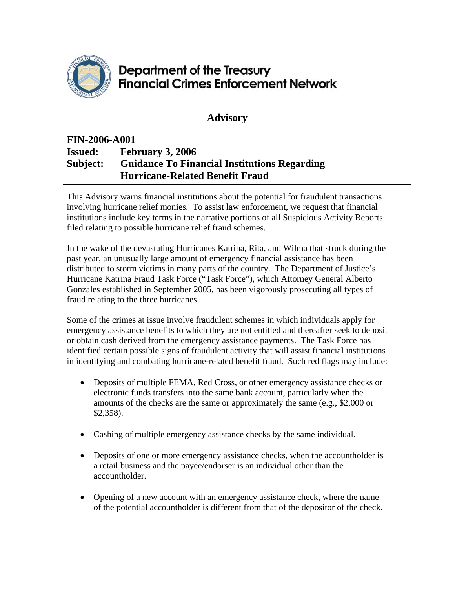

## **Department of the Treasury Financial Crimes Enforcement Network**

**Advisory** 

## **FIN-2006-A001 Issued: February 3, 2006 Subject: Guidance To Financial Institutions Regarding Hurricane-Related Benefit Fraud**

This Advisory warns financial institutions about the potential for fraudulent transactions involving hurricane relief monies. To assist law enforcement, we request that financial institutions include key terms in the narrative portions of all Suspicious Activity Reports filed relating to possible hurricane relief fraud schemes.

In the wake of the devastating Hurricanes Katrina, Rita, and Wilma that struck during the past year, an unusually large amount of emergency financial assistance has been distributed to storm victims in many parts of the country. The Department of Justice's Hurricane Katrina Fraud Task Force ("Task Force"), which Attorney General Alberto Gonzales established in September 2005, has been vigorously prosecuting all types of fraud relating to the three hurricanes.

Some of the crimes at issue involve fraudulent schemes in which individuals apply for emergency assistance benefits to which they are not entitled and thereafter seek to deposit or obtain cash derived from the emergency assistance payments. The Task Force has identified certain possible signs of fraudulent activity that will assist financial institutions in identifying and combating hurricane-related benefit fraud. Such red flags may include:

- Deposits of multiple FEMA, Red Cross, or other emergency assistance checks or electronic funds transfers into the same bank account, particularly when the amounts of the checks are the same or approximately the same (e.g., \$2,000 or \$2,358).
- Cashing of multiple emergency assistance checks by the same individual.
- Deposits of one or more emergency assistance checks, when the accountholder is a retail business and the payee/endorser is an individual other than the accountholder.
- Opening of a new account with an emergency assistance check, where the name of the potential accountholder is different from that of the depositor of the check.